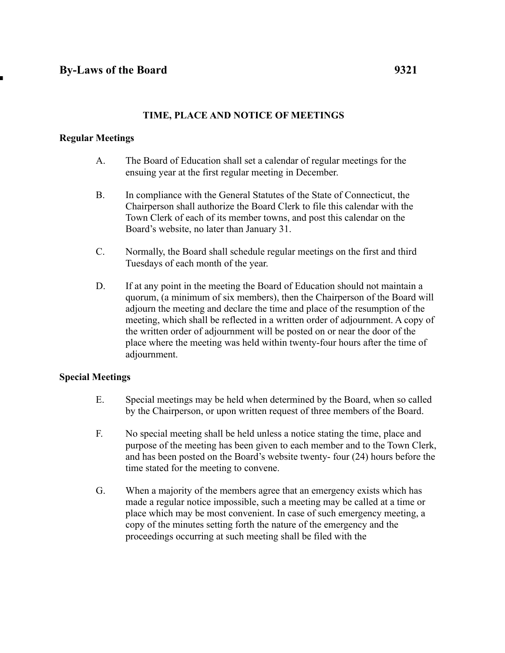# **TIME, PLACE AND NOTICE OF MEETINGS**

## **Regular Meetings**

- A. The Board of Education shall set a calendar of regular meetings for the ensuing year at the first regular meeting in December.
- B. In compliance with the General Statutes of the State of Connecticut, the Chairperson shall authorize the Board Clerk to file this calendar with the Town Clerk of each of its member towns, and post this calendar on the Board's website, no later than January 31.
- C. Normally, the Board shall schedule regular meetings on the first and third Tuesdays of each month of the year.
- D. If at any point in the meeting the Board of Education should not maintain a quorum, (a minimum of six members), then the Chairperson of the Board will adjourn the meeting and declare the time and place of the resumption of the meeting, which shall be reflected in a written order of adjournment. A copy of the written order of adjournment will be posted on or near the door of the place where the meeting was held within twenty-four hours after the time of adjournment.

#### **Special Meetings**

- E. Special meetings may be held when determined by the Board, when so called by the Chairperson, or upon written request of three members of the Board.
- F. No special meeting shall be held unless a notice stating the time, place and purpose of the meeting has been given to each member and to the Town Clerk, and has been posted on the Board's website twenty- four (24) hours before the time stated for the meeting to convene.
- G. When a majority of the members agree that an emergency exists which has made a regular notice impossible, such a meeting may be called at a time or place which may be most convenient. In case of such emergency meeting, a copy of the minutes setting forth the nature of the emergency and the proceedings occurring at such meeting shall be filed with the